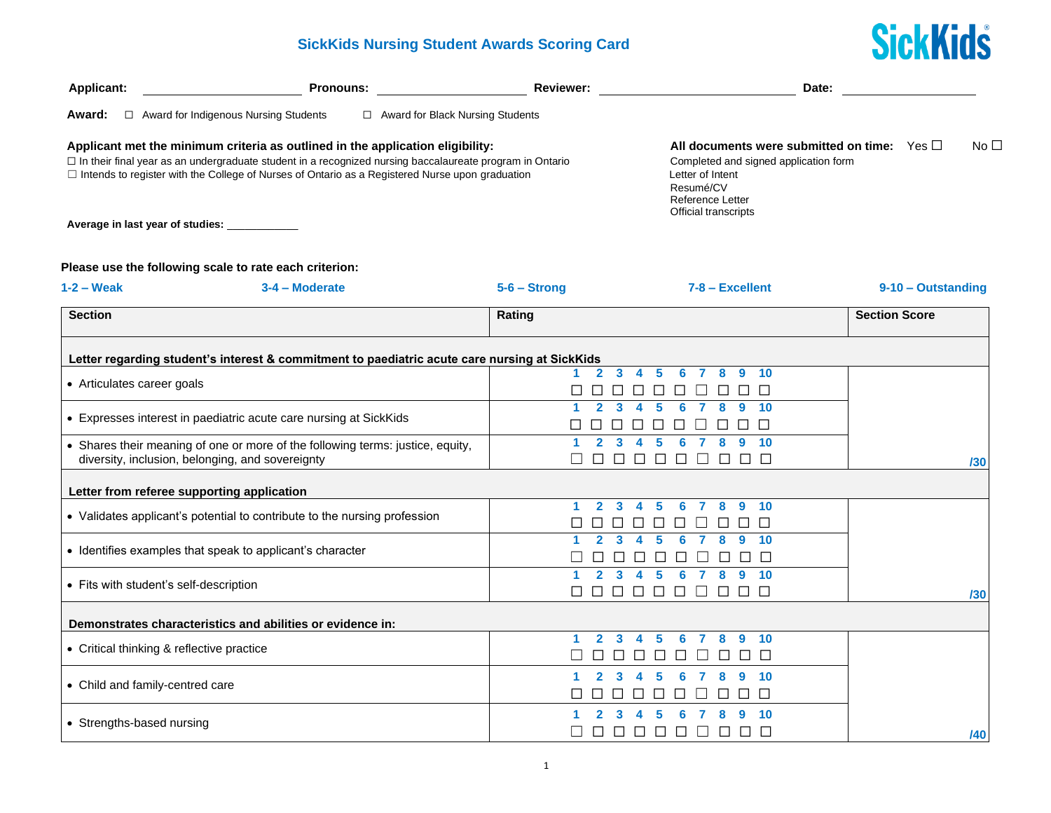## **SickKids Nursing Student Awards Scoring Card**



| Applicant:                                   | <b>Pronouns:</b>                                                                                                                                                                                                                                                                                       | <b>Reviewer:</b>           | Date:                                                                                                                                                                           |                      |
|----------------------------------------------|--------------------------------------------------------------------------------------------------------------------------------------------------------------------------------------------------------------------------------------------------------------------------------------------------------|----------------------------|---------------------------------------------------------------------------------------------------------------------------------------------------------------------------------|----------------------|
| Award:                                       | $\Box$ Award for Indigenous Nursing Students<br>$\Box$ Award for Black Nursing Students                                                                                                                                                                                                                |                            |                                                                                                                                                                                 |                      |
| Average in last year of studies: ___________ | Applicant met the minimum criteria as outlined in the application eligibility:<br>□ In their final year as an undergraduate student in a recognized nursing baccalaureate program in Ontario<br>$\Box$ Intends to register with the College of Nurses of Ontario as a Registered Nurse upon graduation |                            | All documents were submitted on time: $\forall$ es $\Box$<br>Completed and signed application form<br>Letter of Intent<br>Resumé/CV<br>Reference Letter<br>Official transcripts | No <sub>1</sub>      |
|                                              |                                                                                                                                                                                                                                                                                                        |                            |                                                                                                                                                                                 |                      |
|                                              | Please use the following scale to rate each criterion:                                                                                                                                                                                                                                                 |                            |                                                                                                                                                                                 |                      |
| $1-2$ – Weak                                 | 3-4 - Moderate                                                                                                                                                                                                                                                                                         | $5 - 6 -$ Strong           | $7 - 8 - Excellent$                                                                                                                                                             | 9-10 - Outstanding   |
| <b>Section</b>                               |                                                                                                                                                                                                                                                                                                        | Rating                     |                                                                                                                                                                                 | <b>Section Score</b> |
|                                              |                                                                                                                                                                                                                                                                                                        |                            |                                                                                                                                                                                 |                      |
|                                              | Letter regarding student's interest & commitment to paediatric acute care nursing at SickKids                                                                                                                                                                                                          | $\mathbf{2}$<br>3          | 5<br>8<br>9<br>10<br>4                                                                                                                                                          |                      |
| • Articulates career goals                   |                                                                                                                                                                                                                                                                                                        |                            | $\Box$<br>П<br>П<br>П<br>$\perp$                                                                                                                                                |                      |
|                                              | • Expresses interest in paediatric acute care nursing at SickKids                                                                                                                                                                                                                                      | $\mathbf{p}$<br>3          | 5<br>8<br>9<br>10<br>6<br>7<br>4                                                                                                                                                |                      |
|                                              |                                                                                                                                                                                                                                                                                                        |                            |                                                                                                                                                                                 |                      |
|                                              | • Shares their meaning of one or more of the following terms: justice, equity,<br>diversity, inclusion, belonging, and sovereignty                                                                                                                                                                     | 3<br>$\Box$<br>$\Box$      | 8<br>9<br>10<br>5<br>6<br>$\Box$<br>$\Box$<br>$\Box$<br>$\Box$<br>$\Box$<br>$\Box$<br>$\Box$                                                                                    | /30                  |
| Letter from referee supporting application   |                                                                                                                                                                                                                                                                                                        |                            |                                                                                                                                                                                 |                      |
|                                              |                                                                                                                                                                                                                                                                                                        | $\mathbf{2}$<br>3          | 5<br>8<br>9<br>10<br>6<br>-7<br>4                                                                                                                                               |                      |
|                                              | • Validates applicant's potential to contribute to the nursing profession                                                                                                                                                                                                                              |                            | □<br>П<br>$\Box$<br>П                                                                                                                                                           |                      |
|                                              | • Identifies examples that speak to applicant's character                                                                                                                                                                                                                                              | 3                          | $\boldsymbol{4}$<br>5<br>6<br>$\overline{7}$<br>8<br>9<br>10                                                                                                                    |                      |
|                                              |                                                                                                                                                                                                                                                                                                        | $\overline{2}$<br>3        | $\Box$<br>5<br>8<br>9<br>6<br>10                                                                                                                                                |                      |
| • Fits with student's self-description       |                                                                                                                                                                                                                                                                                                        | 88888                      | $\Box$ $\Box$<br>$\Box$<br>$\Box$<br>$\Box$ $\Box$                                                                                                                              | /30                  |
|                                              | Demonstrates characteristics and abilities or evidence in:                                                                                                                                                                                                                                             |                            |                                                                                                                                                                                 |                      |
| • Critical thinking & reflective practice    |                                                                                                                                                                                                                                                                                                        | $\mathbf{2}$<br>З.         | 5<br>6<br>7<br>8<br>9<br>10<br>4                                                                                                                                                |                      |
|                                              |                                                                                                                                                                                                                                                                                                        |                            | $\Box$<br>$\Box$<br>$\Box$<br>$\mathcal{L}$<br>⊔<br>$\Box$                                                                                                                      |                      |
| • Child and family-centred care              |                                                                                                                                                                                                                                                                                                        | $\mathbf{2}$<br>3<br>1.    | 5<br>8<br>9<br>10<br>4<br>6<br>$\overline{7}$                                                                                                                                   |                      |
|                                              |                                                                                                                                                                                                                                                                                                        | $\Box$<br>$\Box$<br>⊔      | □<br>□<br>$\Box$<br>□<br>$\Box$<br>$\Box$                                                                                                                                       |                      |
| • Strengths-based nursing                    |                                                                                                                                                                                                                                                                                                        | 3<br>П<br>$\Box$<br>$\Box$ | 10<br>5<br>8<br>9<br>$\Box$<br>$\Box$<br>$\Box$<br>$\Box$<br>$\Box$<br>П<br>$\Box$                                                                                              |                      |
|                                              |                                                                                                                                                                                                                                                                                                        |                            |                                                                                                                                                                                 | /40                  |